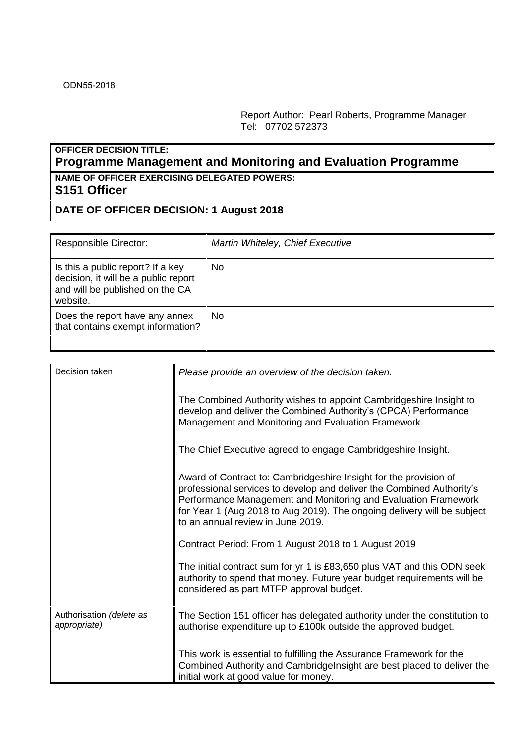Report Author: Pearl Roberts, Programme Manager Tel: 07702 572373

## **OFFICER DECISION TITLE: Programme Management and Monitoring and Evaluation Programme NAME OF OFFICER EXERCISING DELEGATED POWERS:**

## **S151 Officer**

## **DATE OF OFFICER DECISION: 1 August 2018**

| <b>Responsible Director:</b>                                                                                             | Martin Whiteley, Chief Executive |
|--------------------------------------------------------------------------------------------------------------------------|----------------------------------|
| Is this a public report? If a key<br>decision, it will be a public report<br>and will be published on the CA<br>website. | No                               |
| Does the report have any annex<br>that contains exempt information?                                                      | No                               |
|                                                                                                                          |                                  |

| Decision taken                           | Please provide an overview of the decision taken.                                                                                                                                                                                                                                                                            |
|------------------------------------------|------------------------------------------------------------------------------------------------------------------------------------------------------------------------------------------------------------------------------------------------------------------------------------------------------------------------------|
|                                          | The Combined Authority wishes to appoint Cambridgeshire Insight to<br>develop and deliver the Combined Authority's (CPCA) Performance<br>Management and Monitoring and Evaluation Framework.                                                                                                                                 |
|                                          | The Chief Executive agreed to engage Cambridgeshire Insight.                                                                                                                                                                                                                                                                 |
|                                          | Award of Contract to: Cambridgeshire Insight for the provision of<br>professional services to develop and deliver the Combined Authority's<br>Performance Management and Monitoring and Evaluation Framework<br>for Year 1 (Aug 2018 to Aug 2019). The ongoing delivery will be subject<br>to an annual review in June 2019. |
|                                          | Contract Period: From 1 August 2018 to 1 August 2019                                                                                                                                                                                                                                                                         |
|                                          | The initial contract sum for yr 1 is £83,650 plus VAT and this ODN seek<br>authority to spend that money. Future year budget requirements will be<br>considered as part MTFP approval budget.                                                                                                                                |
| Authorisation (delete as<br>appropriate) | The Section 151 officer has delegated authority under the constitution to<br>authorise expenditure up to £100k outside the approved budget.                                                                                                                                                                                  |
|                                          | This work is essential to fulfilling the Assurance Framework for the<br>Combined Authority and Cambridge Insight are best placed to deliver the<br>initial work at good value for money.                                                                                                                                     |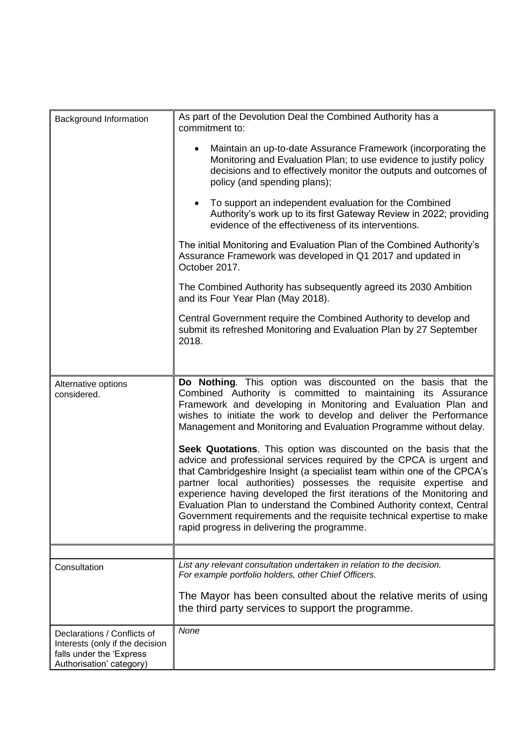| Background Information                                                                                                 | As part of the Devolution Deal the Combined Authority has a<br>commitment to:<br>Maintain an up-to-date Assurance Framework (incorporating the<br>$\bullet$<br>Monitoring and Evaluation Plan; to use evidence to justify policy<br>decisions and to effectively monitor the outputs and outcomes of<br>policy (and spending plans);<br>To support an independent evaluation for the Combined<br>$\bullet$<br>Authority's work up to its first Gateway Review in 2022; providing<br>evidence of the effectiveness of its interventions.<br>The initial Monitoring and Evaluation Plan of the Combined Authority's<br>Assurance Framework was developed in Q1 2017 and updated in |  |  |  |
|------------------------------------------------------------------------------------------------------------------------|----------------------------------------------------------------------------------------------------------------------------------------------------------------------------------------------------------------------------------------------------------------------------------------------------------------------------------------------------------------------------------------------------------------------------------------------------------------------------------------------------------------------------------------------------------------------------------------------------------------------------------------------------------------------------------|--|--|--|
|                                                                                                                        | October 2017.<br>The Combined Authority has subsequently agreed its 2030 Ambition<br>and its Four Year Plan (May 2018).                                                                                                                                                                                                                                                                                                                                                                                                                                                                                                                                                          |  |  |  |
|                                                                                                                        | Central Government require the Combined Authority to develop and<br>submit its refreshed Monitoring and Evaluation Plan by 27 September<br>2018.                                                                                                                                                                                                                                                                                                                                                                                                                                                                                                                                 |  |  |  |
| Alternative options<br>considered.                                                                                     | Do Nothing. This option was discounted on the basis that the<br>Combined Authority is committed to maintaining its Assurance<br>Framework and developing in Monitoring and Evaluation Plan and<br>wishes to initiate the work to develop and deliver the Performance<br>Management and Monitoring and Evaluation Programme without delay.                                                                                                                                                                                                                                                                                                                                        |  |  |  |
|                                                                                                                        | Seek Quotations. This option was discounted on the basis that the<br>advice and professional services required by the CPCA is urgent and<br>that Cambridgeshire Insight (a specialist team within one of the CPCA's<br>partner local authorities) possesses the requisite expertise and<br>experience having developed the first iterations of the Monitoring and<br>Evaluation Plan to understand the Combined Authority context, Central<br>Government requirements and the requisite technical expertise to make<br>rapid progress in delivering the programme.                                                                                                               |  |  |  |
|                                                                                                                        |                                                                                                                                                                                                                                                                                                                                                                                                                                                                                                                                                                                                                                                                                  |  |  |  |
| Consultation                                                                                                           | List any relevant consultation undertaken in relation to the decision.<br>For example portfolio holders, other Chief Officers.<br>The Mayor has been consulted about the relative merits of using<br>the third party services to support the programme.                                                                                                                                                                                                                                                                                                                                                                                                                          |  |  |  |
| Declarations / Conflicts of<br>Interests (only if the decision<br>falls under the 'Express<br>Authorisation' category) | None                                                                                                                                                                                                                                                                                                                                                                                                                                                                                                                                                                                                                                                                             |  |  |  |